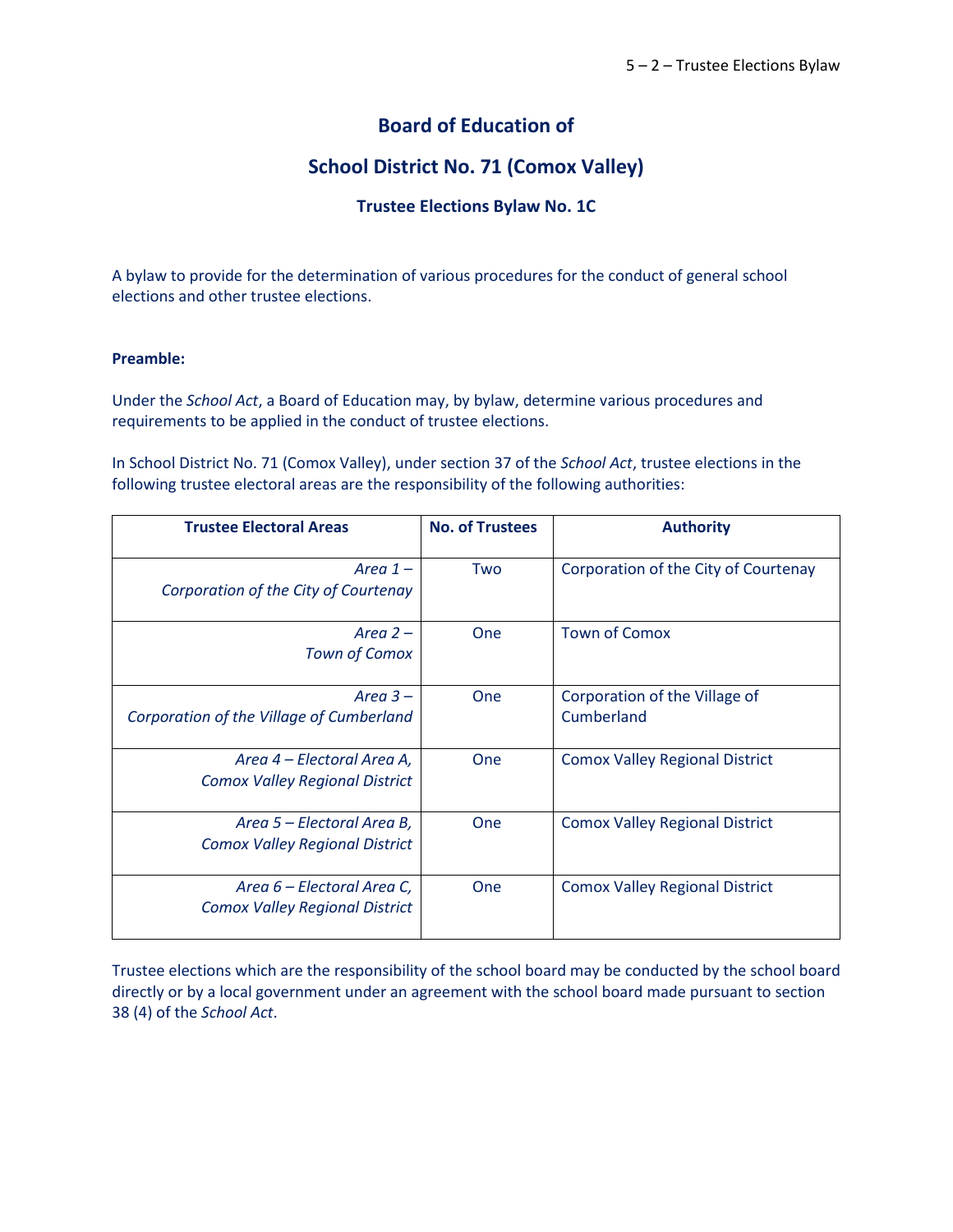# **Board of Education of**

# **School District No. 71 (Comox Valley)**

# **Trustee Elections Bylaw No. 1C**

A bylaw to provide for the determination of various procedures for the conduct of general school elections and other trustee elections.

# **Preamble:**

Under the *School Act*, a Board of Education may, by bylaw, determine various procedures and requirements to be applied in the conduct of trustee elections.

In School District No. 71 (Comox Valley), under section 37 of the *School Act*, trustee elections in the following trustee electoral areas are the responsibility of the following authorities:

| <b>Trustee Electoral Areas</b>                                      | <b>No. of Trustees</b> | <b>Authority</b>                            |
|---------------------------------------------------------------------|------------------------|---------------------------------------------|
| Area $1-$<br>Corporation of the City of Courtenay                   | Two                    | Corporation of the City of Courtenay        |
| Area $2-$<br><b>Town of Comox</b>                                   | One                    | <b>Town of Comox</b>                        |
| Area $3-$<br>Corporation of the Village of Cumberland               | One                    | Corporation of the Village of<br>Cumberland |
| Area 4 – Electoral Area A,<br><b>Comox Valley Regional District</b> | One                    | <b>Comox Valley Regional District</b>       |
| Area 5 – Electoral Area B,<br><b>Comox Valley Regional District</b> | One                    | <b>Comox Valley Regional District</b>       |
| Area 6 – Electoral Area C,<br><b>Comox Valley Regional District</b> | One                    | <b>Comox Valley Regional District</b>       |

Trustee elections which are the responsibility of the school board may be conducted by the school board directly or by a local government under an agreement with the school board made pursuant to section 38 (4) of the *School Act*.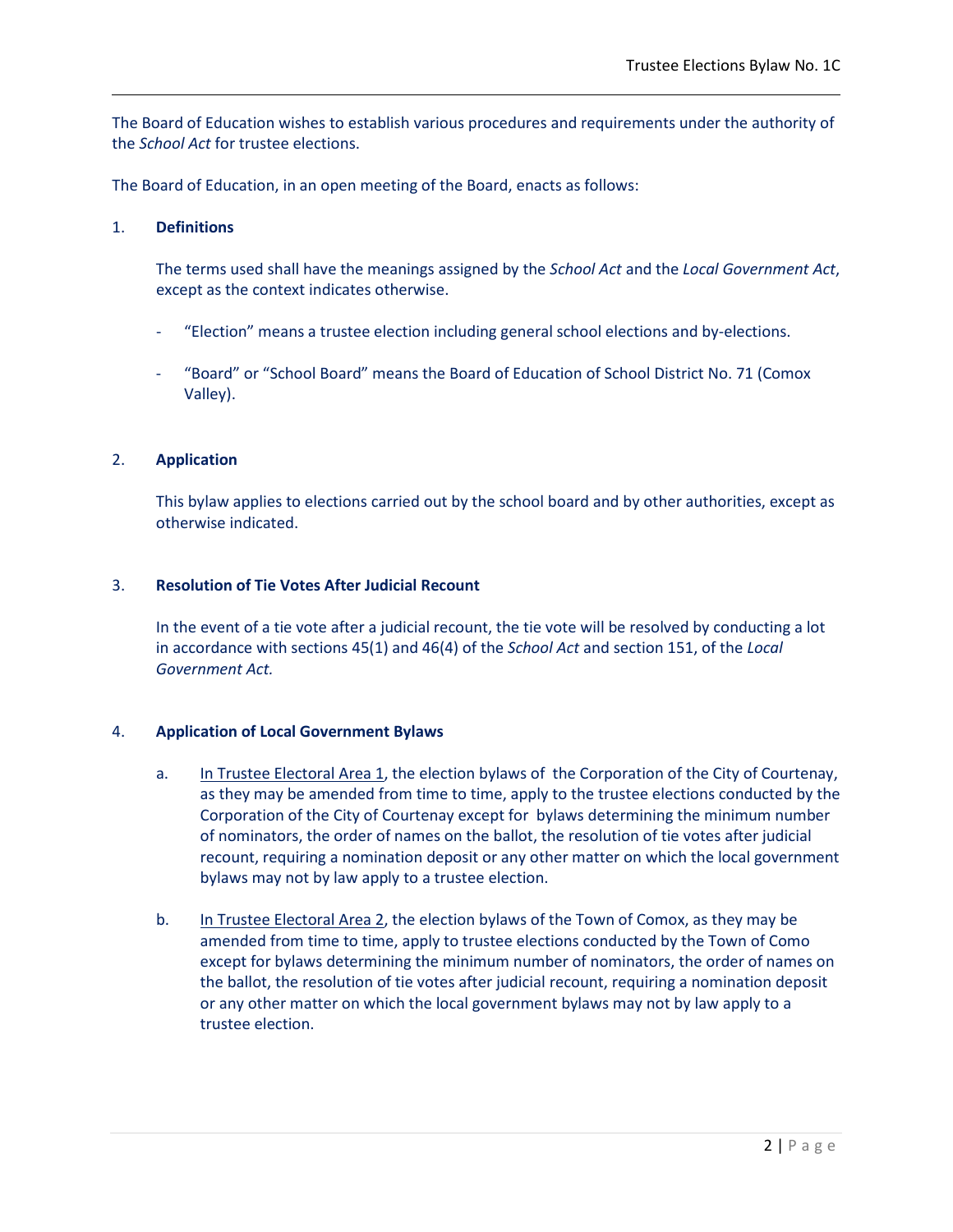The Board of Education wishes to establish various procedures and requirements under the authority of the *School Act* for trustee elections.

The Board of Education, in an open meeting of the Board, enacts as follows:

### 1. **Definitions**

The terms used shall have the meanings assigned by the *School Act* and the *Local Government Act*, except as the context indicates otherwise.

- "Election" means a trustee election including general school elections and by-elections.
- "Board" or "School Board" means the Board of Education of School District No. 71 (Comox Valley).

### 2. **Application**

This bylaw applies to elections carried out by the school board and by other authorities, except as otherwise indicated.

### 3. **Resolution of Tie Votes After Judicial Recount**

In the event of a tie vote after a judicial recount, the tie vote will be resolved by conducting a lot in accordance with sections 45(1) and 46(4) of the *School Act* and section 151, of the *Local Government Act.*

# 4. **Application of Local Government Bylaws**

- a. In Trustee Electoral Area 1, the election bylaws of the Corporation of the City of Courtenay, as they may be amended from time to time, apply to the trustee elections conducted by the Corporation of the City of Courtenay except for bylaws determining the minimum number of nominators, the order of names on the ballot, the resolution of tie votes after judicial recount, requiring a nomination deposit or any other matter on which the local government bylaws may not by law apply to a trustee election.
- b. In Trustee Electoral Area 2, the election bylaws of the Town of Comox, as they may be amended from time to time, apply to trustee elections conducted by the Town of Como except for bylaws determining the minimum number of nominators, the order of names on the ballot, the resolution of tie votes after judicial recount, requiring a nomination deposit or any other matter on which the local government bylaws may not by law apply to a trustee election.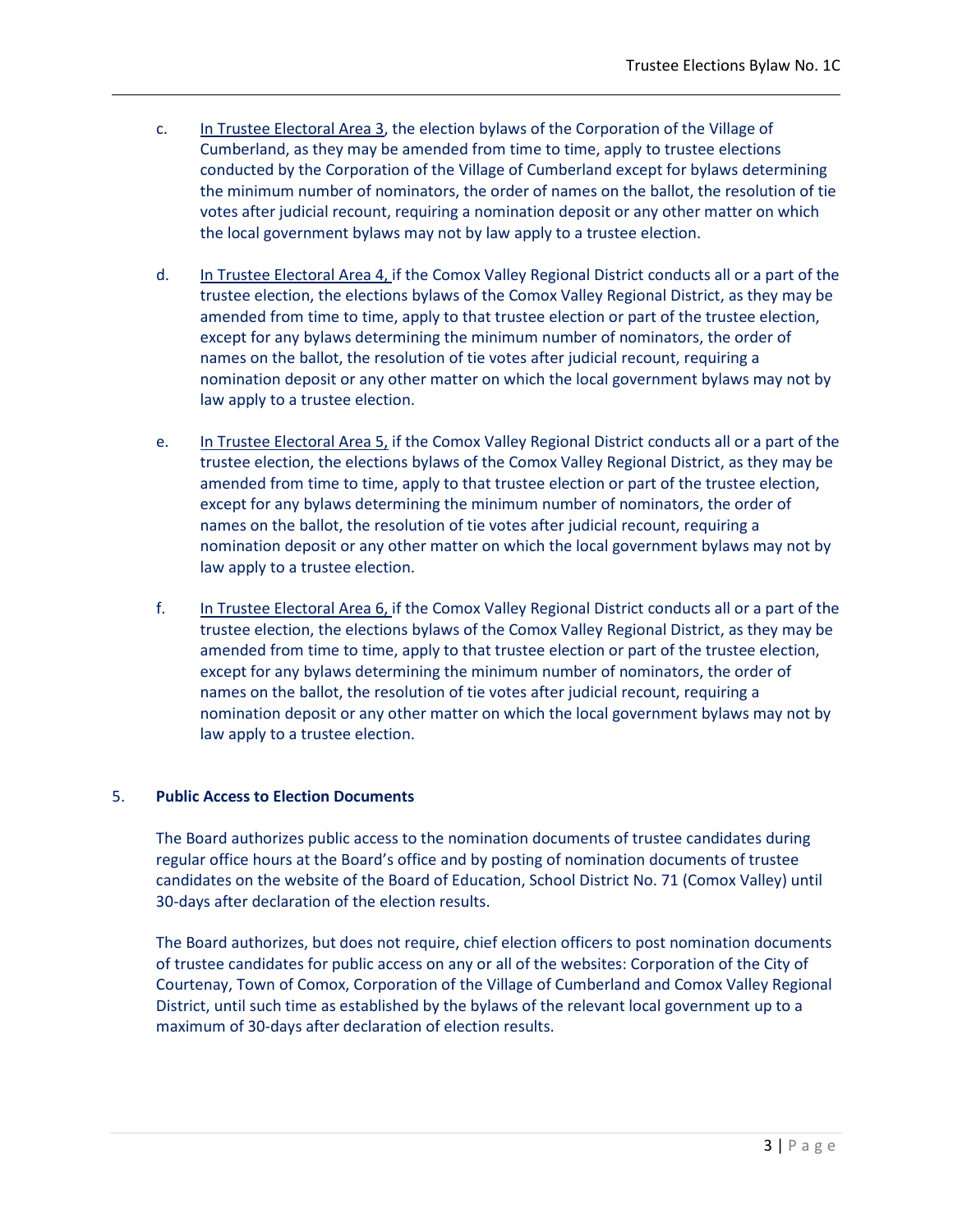- c. In Trustee Electoral Area 3, the election bylaws of the Corporation of the Village of Cumberland, as they may be amended from time to time, apply to trustee elections conducted by the Corporation of the Village of Cumberland except for bylaws determining the minimum number of nominators, the order of names on the ballot, the resolution of tie votes after judicial recount, requiring a nomination deposit or any other matter on which the local government bylaws may not by law apply to a trustee election.
- d. In Trustee Electoral Area 4, if the Comox Valley Regional District conducts all or a part of the trustee election, the elections bylaws of the Comox Valley Regional District, as they may be amended from time to time, apply to that trustee election or part of the trustee election, except for any bylaws determining the minimum number of nominators, the order of names on the ballot, the resolution of tie votes after judicial recount, requiring a nomination deposit or any other matter on which the local government bylaws may not by law apply to a trustee election.
- e. In Trustee Electoral Area 5, if the Comox Valley Regional District conducts all or a part of the trustee election, the elections bylaws of the Comox Valley Regional District, as they may be amended from time to time, apply to that trustee election or part of the trustee election, except for any bylaws determining the minimum number of nominators, the order of names on the ballot, the resolution of tie votes after judicial recount, requiring a nomination deposit or any other matter on which the local government bylaws may not by law apply to a trustee election.
- f. In Trustee Electoral Area 6, if the Comox Valley Regional District conducts all or a part of the trustee election, the elections bylaws of the Comox Valley Regional District, as they may be amended from time to time, apply to that trustee election or part of the trustee election, except for any bylaws determining the minimum number of nominators, the order of names on the ballot, the resolution of tie votes after judicial recount, requiring a nomination deposit or any other matter on which the local government bylaws may not by law apply to a trustee election.

# 5. **Public Access to Election Documents**

The Board authorizes public access to the nomination documents of trustee candidates during regular office hours at the Board's office and by posting of nomination documents of trustee candidates on the website of the Board of Education, School District No. 71 (Comox Valley) until 30-days after declaration of the election results.

The Board authorizes, but does not require, chief election officers to post nomination documents of trustee candidates for public access on any or all of the websites: Corporation of the City of Courtenay, Town of Comox, Corporation of the Village of Cumberland and Comox Valley Regional District, until such time as established by the bylaws of the relevant local government up to a maximum of 30-days after declaration of election results.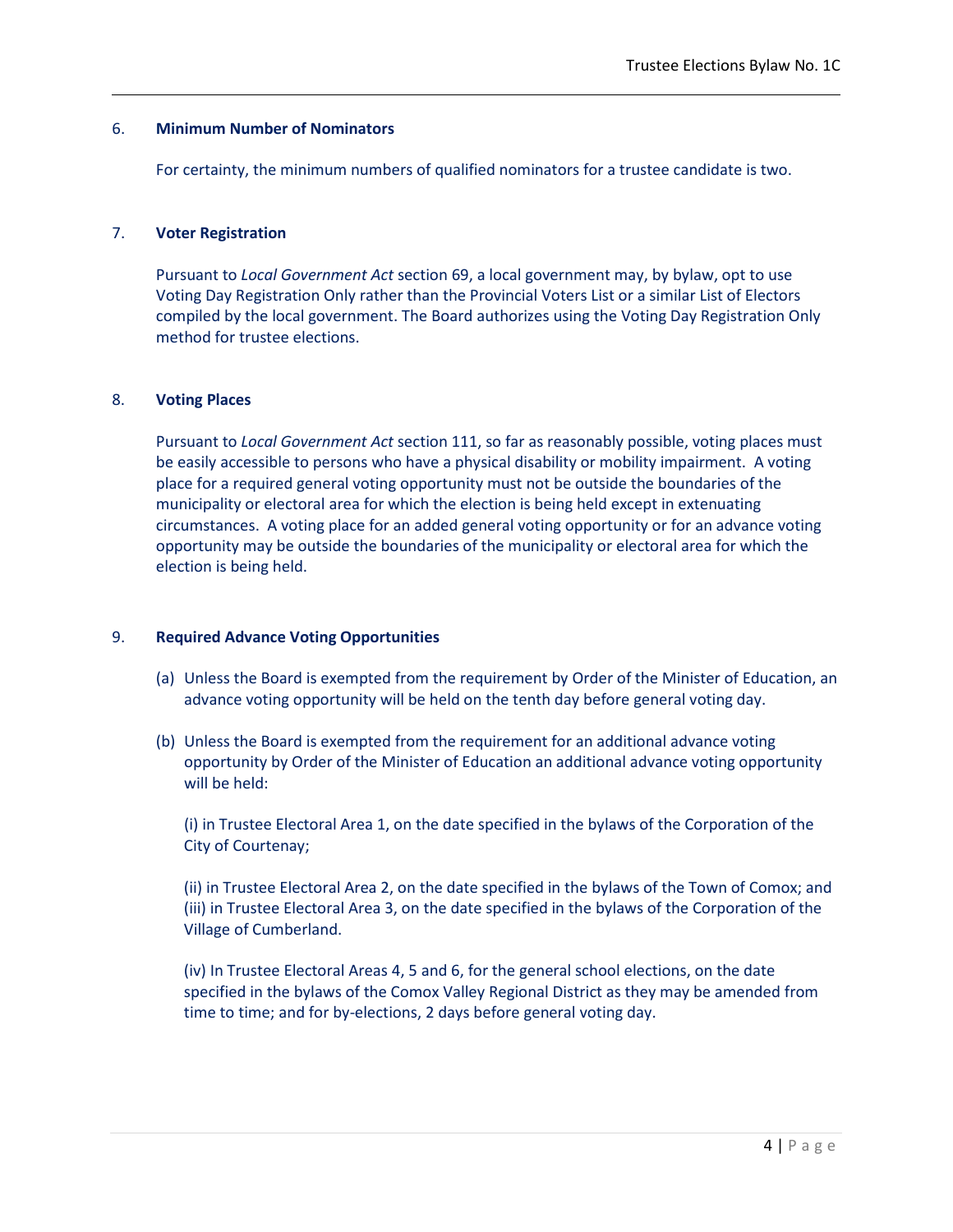### 6. **Minimum Number of Nominators**

For certainty, the minimum numbers of qualified nominators for a trustee candidate is two.

### 7. **Voter Registration**

Pursuant to *Local Government Act* section 69, a local government may, by bylaw, opt to use Voting Day Registration Only rather than the Provincial Voters List or a similar List of Electors compiled by the local government. The Board authorizes using the Voting Day Registration Only method for trustee elections.

#### 8. **Voting Places**

Pursuant to *Local Government Act* section 111, so far as reasonably possible, voting places must be easily accessible to persons who have a physical disability or mobility impairment. A voting place for a required general voting opportunity must not be outside the boundaries of the municipality or electoral area for which the election is being held except in extenuating circumstances. A voting place for an added general voting opportunity or for an advance voting opportunity may be outside the boundaries of the municipality or electoral area for which the election is being held.

#### 9. **Required Advance Voting Opportunities**

- (a) Unless the Board is exempted from the requirement by Order of the Minister of Education, an advance voting opportunity will be held on the tenth day before general voting day.
- (b) Unless the Board is exempted from the requirement for an additional advance voting opportunity by Order of the Minister of Education an additional advance voting opportunity will be held:

(i) in Trustee Electoral Area 1, on the date specified in the bylaws of the Corporation of the City of Courtenay;

(ii) in Trustee Electoral Area 2, on the date specified in the bylaws of the Town of Comox; and (iii) in Trustee Electoral Area 3, on the date specified in the bylaws of the Corporation of the Village of Cumberland.

(iv) In Trustee Electoral Areas 4, 5 and 6, for the general school elections, on the date specified in the bylaws of the Comox Valley Regional District as they may be amended from time to time; and for by-elections, 2 days before general voting day.